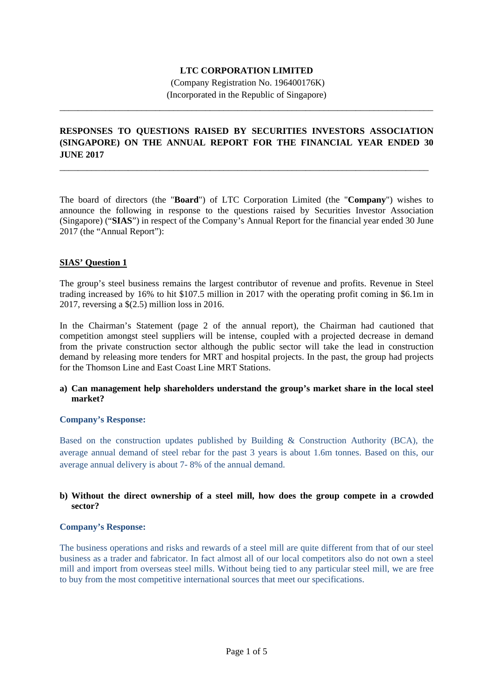# **LTC CORPORATION LIMITED**

 (Company Registration No. 196400176K) (Incorporated in the Republic of Singapore)

\_\_\_\_\_\_\_\_\_\_\_\_\_\_\_\_\_\_\_\_\_\_\_\_\_\_\_\_\_\_\_\_\_\_\_\_\_\_\_\_\_\_\_\_\_\_\_\_\_\_\_\_\_\_\_\_\_\_\_\_\_\_\_\_\_\_\_\_\_\_\_\_\_\_\_\_\_\_\_\_\_\_

# **RESPONSES TO QUESTIONS RAISED BY SECURITIES INVESTORS ASSOCIATION (SINGAPORE) ON THE ANNUAL REPORT FOR THE FINANCIAL YEAR ENDED 30 JUNE 2017**

\_\_\_\_\_\_\_\_\_\_\_\_\_\_\_\_\_\_\_\_\_\_\_\_\_\_\_\_\_\_\_\_\_\_\_\_\_\_\_\_\_\_\_\_\_\_\_\_\_\_\_\_\_\_\_\_\_\_\_\_\_\_\_\_\_\_\_\_\_\_\_\_\_\_\_\_\_\_\_\_\_

The board of directors (the "**Board**") of LTC Corporation Limited (the "**Company**") wishes to announce the following in response to the questions raised by Securities Investor Association (Singapore) ("**SIAS**") in respect of the Company's Annual Report for the financial year ended 30 June 2017 (the "Annual Report"):

# **SIAS' Question 1**

The group's steel business remains the largest contributor of revenue and profits. Revenue in Steel trading increased by 16% to hit \$107.5 million in 2017 with the operating profit coming in \$6.1m in 2017, reversing a \$(2.5) million loss in 2016.

In the Chairman's Statement (page 2 of the annual report), the Chairman had cautioned that competition amongst steel suppliers will be intense, coupled with a projected decrease in demand from the private construction sector although the public sector will take the lead in construction demand by releasing more tenders for MRT and hospital projects. In the past, the group had projects for the Thomson Line and East Coast Line MRT Stations.

# **a) Can management help shareholders understand the group's market share in the local steel market?**

# **Company's Response:**

Based on the construction updates published by Building & Construction Authority (BCA), the average annual demand of steel rebar for the past 3 years is about 1.6m tonnes. Based on this, our average annual delivery is about 7- 8% of the annual demand.

# **b) Without the direct ownership of a steel mill, how does the group compete in a crowded sector?**

# **Company's Response:**

The business operations and risks and rewards of a steel mill are quite different from that of our steel business as a trader and fabricator. In fact almost all of our local competitors also do not own a steel mill and import from overseas steel mills. Without being tied to any particular steel mill, we are free to buy from the most competitive international sources that meet our specifications.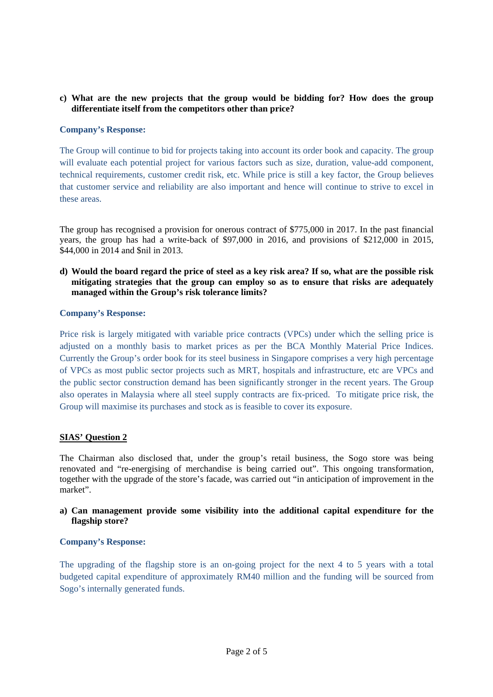# **c) What are the new projects that the group would be bidding for? How does the group differentiate itself from the competitors other than price?**

# **Company's Response:**

The Group will continue to bid for projects taking into account its order book and capacity. The group will evaluate each potential project for various factors such as size, duration, value-add component, technical requirements, customer credit risk, etc. While price is still a key factor, the Group believes that customer service and reliability are also important and hence will continue to strive to excel in these areas.

The group has recognised a provision for onerous contract of \$775,000 in 2017. In the past financial years, the group has had a write-back of \$97,000 in 2016, and provisions of \$212,000 in 2015, \$44,000 in 2014 and \$nil in 2013.

**d) Would the board regard the price of steel as a key risk area? If so, what are the possible risk mitigating strategies that the group can employ so as to ensure that risks are adequately managed within the Group's risk tolerance limits?** 

# **Company's Response:**

Price risk is largely mitigated with variable price contracts (VPCs) under which the selling price is adjusted on a monthly basis to market prices as per the BCA Monthly Material Price Indices. Currently the Group's order book for its steel business in Singapore comprises a very high percentage of VPCs as most public sector projects such as MRT, hospitals and infrastructure, etc are VPCs and the public sector construction demand has been significantly stronger in the recent years. The Group also operates in Malaysia where all steel supply contracts are fix-priced. To mitigate price risk, the Group will maximise its purchases and stock as is feasible to cover its exposure.

# **SIAS' Question 2**

The Chairman also disclosed that, under the group's retail business, the Sogo store was being renovated and "re-energising of merchandise is being carried out". This ongoing transformation, together with the upgrade of the store's facade, was carried out "in anticipation of improvement in the market".

# **a) Can management provide some visibility into the additional capital expenditure for the flagship store?**

# **Company's Response:**

The upgrading of the flagship store is an on-going project for the next 4 to 5 years with a total budgeted capital expenditure of approximately RM40 million and the funding will be sourced from Sogo's internally generated funds.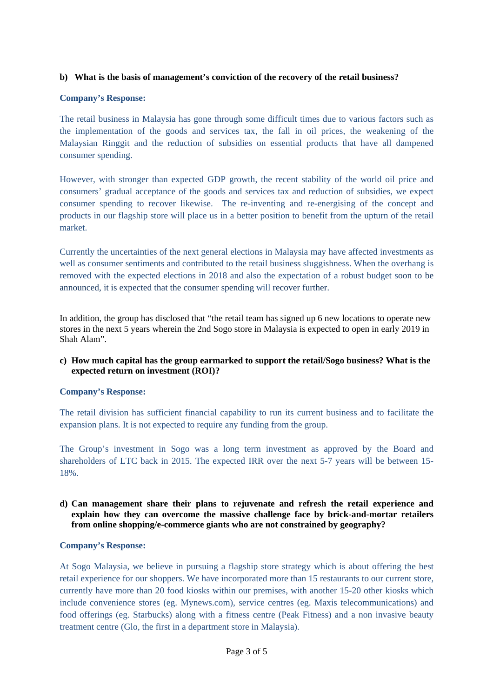# **b) What is the basis of management's conviction of the recovery of the retail business?**

# **Company's Response:**

The retail business in Malaysia has gone through some difficult times due to various factors such as the implementation of the goods and services tax, the fall in oil prices, the weakening of the Malaysian Ringgit and the reduction of subsidies on essential products that have all dampened consumer spending.

However, with stronger than expected GDP growth, the recent stability of the world oil price and consumers' gradual acceptance of the goods and services tax and reduction of subsidies, we expect consumer spending to recover likewise. The re-inventing and re-energising of the concept and products in our flagship store will place us in a better position to benefit from the upturn of the retail market.

Currently the uncertainties of the next general elections in Malaysia may have affected investments as well as consumer sentiments and contributed to the retail business sluggishness. When the overhang is removed with the expected elections in 2018 and also the expectation of a robust budget soon to be announced, it is expected that the consumer spending will recover further.

In addition, the group has disclosed that "the retail team has signed up 6 new locations to operate new stores in the next 5 years wherein the 2nd Sogo store in Malaysia is expected to open in early 2019 in Shah Alam".

# **c) How much capital has the group earmarked to support the retail/Sogo business? What is the expected return on investment (ROI)?**

# **Company's Response:**

The retail division has sufficient financial capability to run its current business and to facilitate the expansion plans. It is not expected to require any funding from the group.

The Group's investment in Sogo was a long term investment as approved by the Board and shareholders of LTC back in 2015. The expected IRR over the next 5-7 years will be between 15- 18%.

# **d) Can management share their plans to rejuvenate and refresh the retail experience and explain how they can overcome the massive challenge face by brick-and-mortar retailers from online shopping/e-commerce giants who are not constrained by geography?**

# **Company's Response:**

At Sogo Malaysia, we believe in pursuing a flagship store strategy which is about offering the best retail experience for our shoppers. We have incorporated more than 15 restaurants to our current store, currently have more than 20 food kiosks within our premises, with another 15-20 other kiosks which include convenience stores (eg. Mynews.com), service centres (eg. Maxis telecommunications) and food offerings (eg. Starbucks) along with a fitness centre (Peak Fitness) and a non invasive beauty treatment centre (Glo, the first in a department store in Malaysia).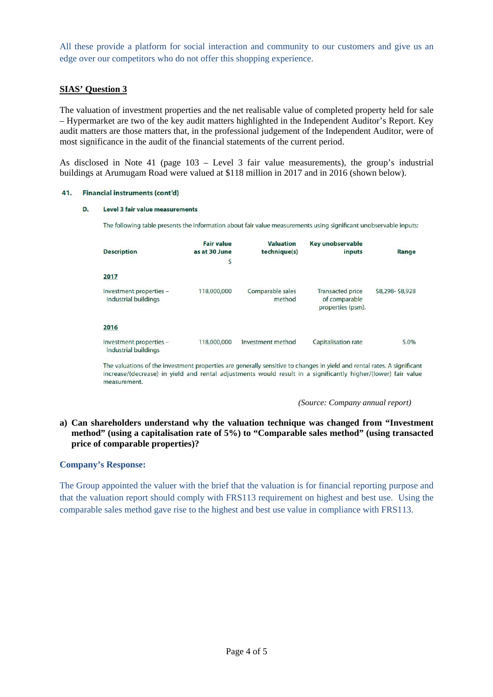All these provide a platform for social interaction and community to our customers and give us an edge over our competitors who do not offer this shopping experience.

# **SIAS' Question 3**

The valuation of investment properties and the net realisable value of completed property held for sale – Hypermarket are two of the key audit matters highlighted in the Independent Auditor's Report. Key audit matters are those matters that, in the professional judgement of the Independent Auditor, were of most significance in the audit of the financial statements of the current period.

As disclosed in Note 41 (page 103 – Level 3 fair value measurements), the group's industrial buildings at Arumugam Road were valued at \$118 million in 2017 and in 2016 (shown below).

#### 41. Financial instruments (cont'd)

#### D. Level 3 fair value measurements

The following table presents the information about fair value measurements using significant unobservable inputs:

| <b>Description</b>                                     | <b>Fair value</b><br>as at 30 June<br>\$ | <b>Valuation</b><br>technique(s) | <b>Key unobservable</b><br>inputs                             | Range           |
|--------------------------------------------------------|------------------------------------------|----------------------------------|---------------------------------------------------------------|-----------------|
| 2017                                                   |                                          |                                  |                                                               |                 |
| Investment properties -<br><b>Industrial buildings</b> | 118,000,000                              | Comparable sales<br>method       | <b>Transacted price</b><br>of comparable<br>properties (psm). | \$8,298-\$8,928 |
| 2016                                                   |                                          |                                  |                                                               |                 |
| Investment properties -<br><b>Industrial buildings</b> | 118,000,000                              | Investment method                | <b>Capitalisation rate</b>                                    | 5.0%            |

The valuations of the investment properties are generally sensitive to changes in yield and rental rates. A significant increase/(decrease) in yield and rental adjustments would result in a significantly higher/(lower) fair value measurement.

*(Source: Company annual report)* 

# **a) Can shareholders understand why the valuation technique was changed from "Investment method" (using a capitalisation rate of 5%) to "Comparable sales method" (using transacted price of comparable properties)?**

#### **Company's Response:**

The Group appointed the valuer with the brief that the valuation is for financial reporting purpose and that the valuation report should comply with FRS113 requirement on highest and best use. Using the comparable sales method gave rise to the highest and best use value in compliance with FRS113.